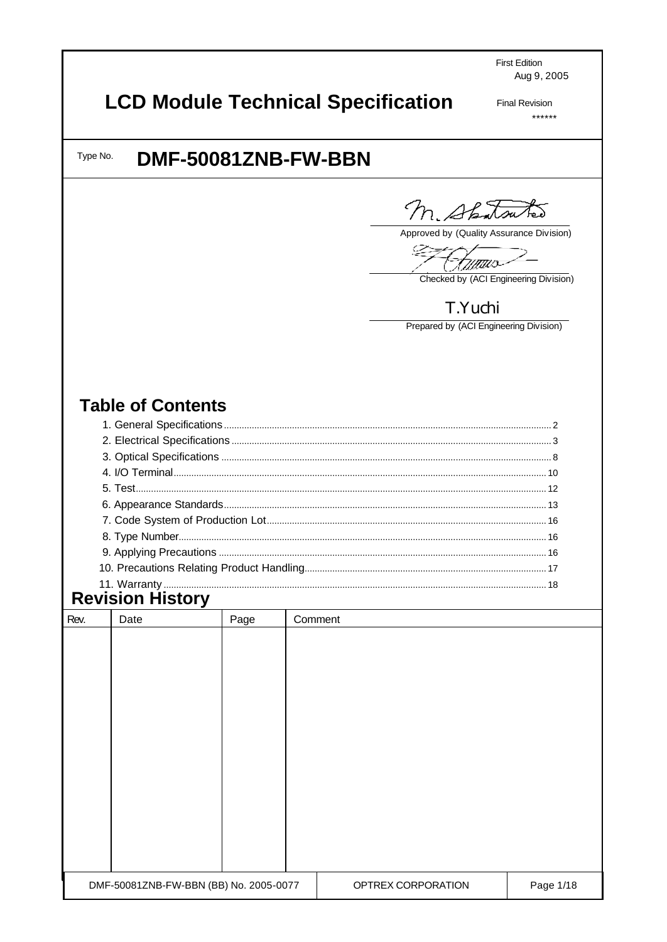**First Edition** Aug 9, 2005

# **LCD Module Technical Specification**

**Final Revision**  $******$ 

#### DMF-50081ZNB-FW-BBN Type No.

M. Shatsutes

Approved by (Quality Assurance Division)

<u> Wittiis</u>

Checked by (ACI Engineering Division)

## T.Yuchi

Prepared by (ACI Engineering Division)

### **Table of Contents**

## **Revision History**

| Rev. | Date                                   | Page | Comment |                    |           |
|------|----------------------------------------|------|---------|--------------------|-----------|
|      |                                        |      |         |                    |           |
|      |                                        |      |         |                    |           |
|      |                                        |      |         |                    |           |
|      |                                        |      |         |                    |           |
|      |                                        |      |         |                    |           |
|      |                                        |      |         |                    |           |
|      |                                        |      |         |                    |           |
|      |                                        |      |         |                    |           |
|      |                                        |      |         |                    |           |
|      |                                        |      |         |                    |           |
|      |                                        |      |         |                    |           |
|      |                                        |      |         |                    |           |
|      |                                        |      |         |                    |           |
|      | DMF-50081ZNB-FW-BBN (BB) No. 2005-0077 |      |         | OPTREX CORPORATION | Page 1/18 |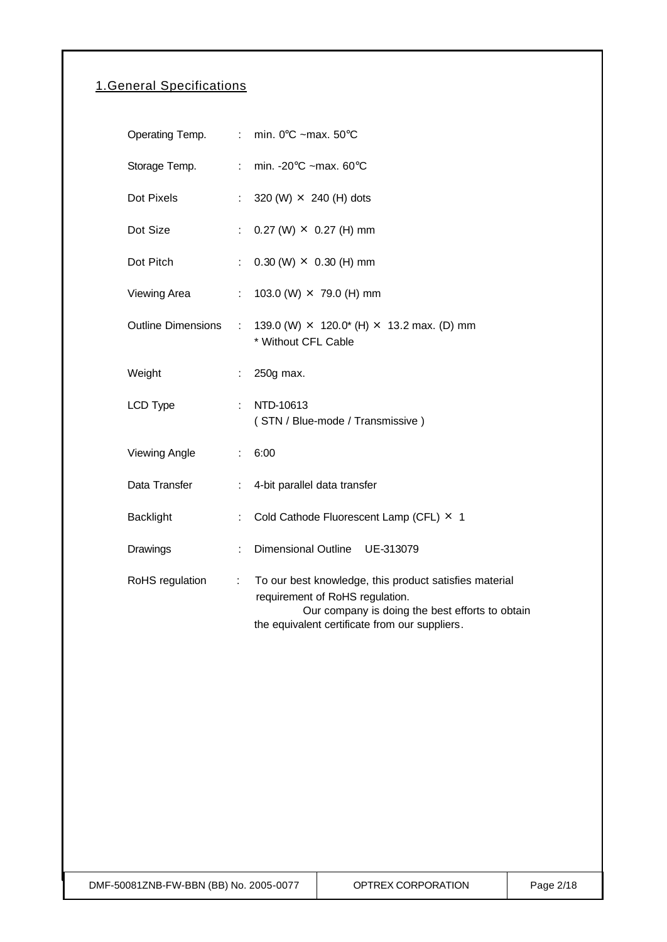### 1.General Specifications

|                           |                              | Operating Temp. : min. 0°C ~max. 50°C                                                                                                                                                          |
|---------------------------|------------------------------|------------------------------------------------------------------------------------------------------------------------------------------------------------------------------------------------|
| Storage Temp.             | $\mathcal{L}_{\mathrm{max}}$ | min. - $20^{\circ}$ C ~max. 60 $^{\circ}$ C                                                                                                                                                    |
| Dot Pixels                | $\mathcal{E}^{\mathcal{E}}$  | 320 (W) $\times$ 240 (H) dots                                                                                                                                                                  |
| Dot Size                  | $\mathcal{L}_{\mathcal{A}}$  | $0.27$ (W) $\times$ 0.27 (H) mm                                                                                                                                                                |
| Dot Pitch                 | ÷.                           | $0.30$ (W) $\times$ 0.30 (H) mm                                                                                                                                                                |
| Viewing Area              | $\mathcal{L}^{\mathcal{L}}$  | 103.0 (W) $\times$ 79.0 (H) mm                                                                                                                                                                 |
| <b>Outline Dimensions</b> | $\mathbb{R}^n$               | 139.0 (W) $\times$ 120.0* (H) $\times$ 13.2 max. (D) mm<br>* Without CFL Cable                                                                                                                 |
| Weight                    | $\mathbb{Z}^{\times}$        | 250g max.                                                                                                                                                                                      |
| LCD Type                  | $\mathbb{R}^{\mathbb{Z}}$    | NTD-10613<br>(STN / Blue-mode / Transmissive)                                                                                                                                                  |
| Viewing Angle             | $\mathbb{R}^{\mathbb{Z}}$    | 6:00                                                                                                                                                                                           |
| Data Transfer             | $\mathbb{Z}^{\mathbb{Z}}$ .  | 4-bit parallel data transfer                                                                                                                                                                   |
| <b>Backlight</b>          | ÷                            | Cold Cathode Fluorescent Lamp (CFL) × 1                                                                                                                                                        |
| Drawings                  | ÷.                           | Dimensional Outline UE-313079                                                                                                                                                                  |
| RoHS regulation           | ÷.                           | To our best knowledge, this product satisfies material<br>requirement of RoHS regulation.<br>Our company is doing the best efforts to obtain<br>the equivalent certificate from our suppliers. |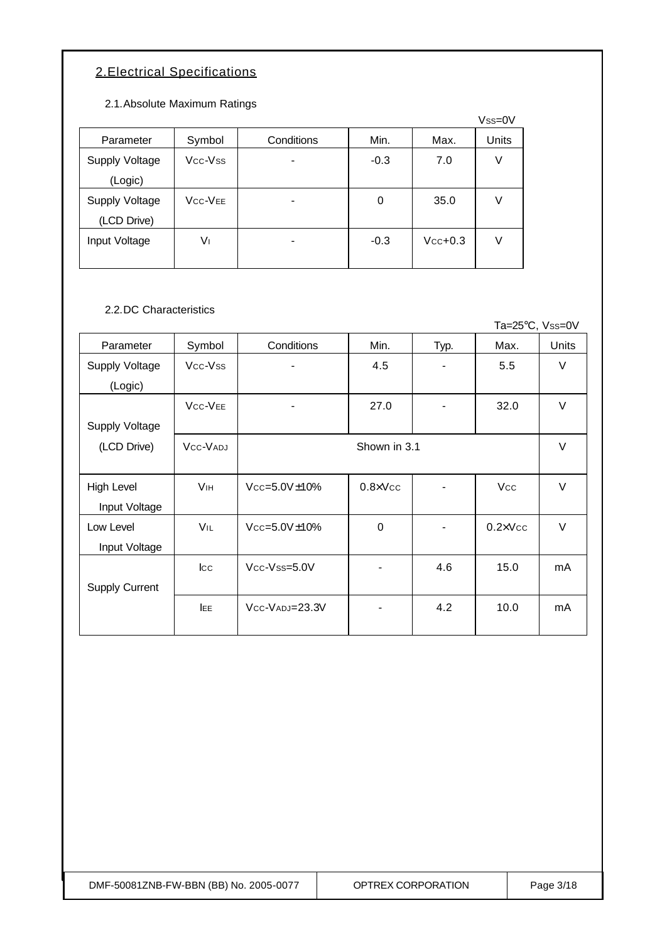### 2.Electrical Specifications

2.1.Absolute Maximum Ratings

|                       |                                  |            |        |           | $Vss=0V$ |
|-----------------------|----------------------------------|------------|--------|-----------|----------|
| Parameter             | Symbol                           | Conditions | Min.   | Max.      | Units    |
| <b>Supply Voltage</b> | Vcc-Vss                          |            | $-0.3$ | 7.0       | V        |
| (Logic)               |                                  |            |        |           |          |
| Supply Voltage        | V <sub>CC</sub> -V <sub>EE</sub> |            | 0      | 35.0      | V        |
| (LCD Drive)           |                                  |            |        |           |          |
| Input Voltage         | V١                               |            | $-0.3$ | $Vcc+0.3$ | V        |
|                       |                                  |            |        |           |          |

2.2.DC Characteristics

Ta=25°C, Vss=0V

| Parameter             | Symbol                           | Conditions             | Min.              | Typ.           | Max.              | <b>Units</b> |  |
|-----------------------|----------------------------------|------------------------|-------------------|----------------|-------------------|--------------|--|
| Supply Voltage        | Vcc-Vss                          | -                      | 4.5               | -              | 5.5               | V            |  |
| (Logic)               |                                  |                        |                   |                |                   |              |  |
|                       | V <sub>CC</sub> -V <sub>EE</sub> | $\blacksquare$         | 27.0              | $\overline{a}$ | 32.0              | V            |  |
| <b>Supply Voltage</b> |                                  |                        |                   |                |                   |              |  |
| (LCD Drive)           | VCC-VADJ                         | Shown in 3.1           |                   |                |                   |              |  |
|                       |                                  |                        |                   |                |                   |              |  |
| High Level            | <b>V<sub>IH</sub></b>            | $Vcc = 5.0V \pm 10\%$  | $0.8 \times V$ cc |                | <b>Vcc</b>        | $\vee$       |  |
| Input Voltage         |                                  |                        |                   |                |                   |              |  |
| Low Level             | <b>VIL</b>                       | $Vcc = 5.0V \pm 10\%$  | $\overline{0}$    |                | $0.2 \times V$ cc | $\vee$       |  |
| Input Voltage         |                                  |                        |                   |                |                   |              |  |
|                       | $_{\rm lcc}$                     | $Vcc$ - $V$ ss= $5.0V$ |                   | 4.6            | 15.0              | mA           |  |
| <b>Supply Current</b> |                                  |                        |                   |                |                   |              |  |
|                       | <b>IEE</b>                       | $Vcc-VADJ=23.3V$       |                   | 4.2            | 10.0              | mA           |  |
|                       |                                  |                        |                   |                |                   |              |  |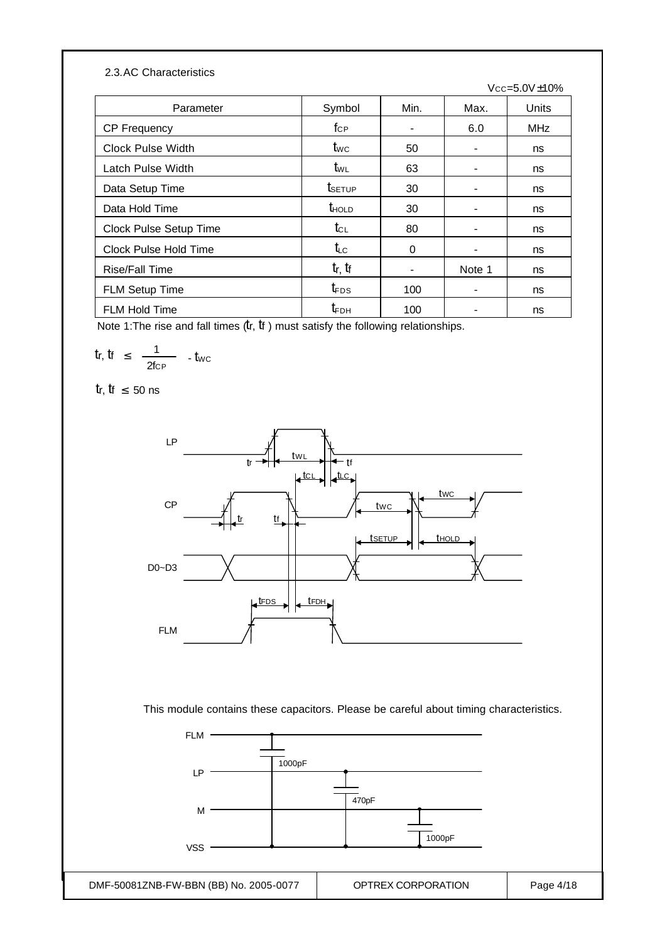#### 2.3.AC Characteristics

|                          |                                     |      |        | $Vcc = 5.0V \pm 10\%$ |
|--------------------------|-------------------------------------|------|--------|-----------------------|
| Parameter                | Symbol                              | Min. | Max.   | <b>Units</b>          |
| <b>CP Frequency</b>      | $f_{\text{CP}}$                     |      | 6.0    | MHz                   |
| <b>Clock Pulse Width</b> | $t_{\text{WC}}$                     | 50   |        | ns                    |
| Latch Pulse Width        | t <sub>wL</sub>                     | 63   |        | ns                    |
| Data Setup Time          | t <sub>setup</sub>                  | 30   |        | ns                    |
| Data Hold Time           | $t_{\text{HOLD}}$                   | 30   |        | ns                    |
| Clock Pulse Setup Time   | $t_{\scriptscriptstyle{\text{CL}}}$ | 80   |        | ns                    |
| Clock Pulse Hold Time    | $t_{LC}$                            | 0    |        | ns                    |
| <b>Rise/Fall Time</b>    | $tr$ , $tf$                         |      | Note 1 | ns                    |
| <b>FLM Setup Time</b>    | $t_{\text{FDS}}$                    | 100  |        | ns                    |
| <b>FLM Hold Time</b>     | $t_{FDH}$                           | 100  |        | ns                    |

Note 1: The rise and fall times  $(tr, \, \text{t}f)$  must satisfy the following relationships.

$$
tr, \, tr \; \leq \; \frac{1}{2 \text{fcP}} \quad . \, t_{\text{WC}}
$$

tr, tr  $\leq 50$  ns



This module contains these capacitors. Please be careful about timing characteristics.

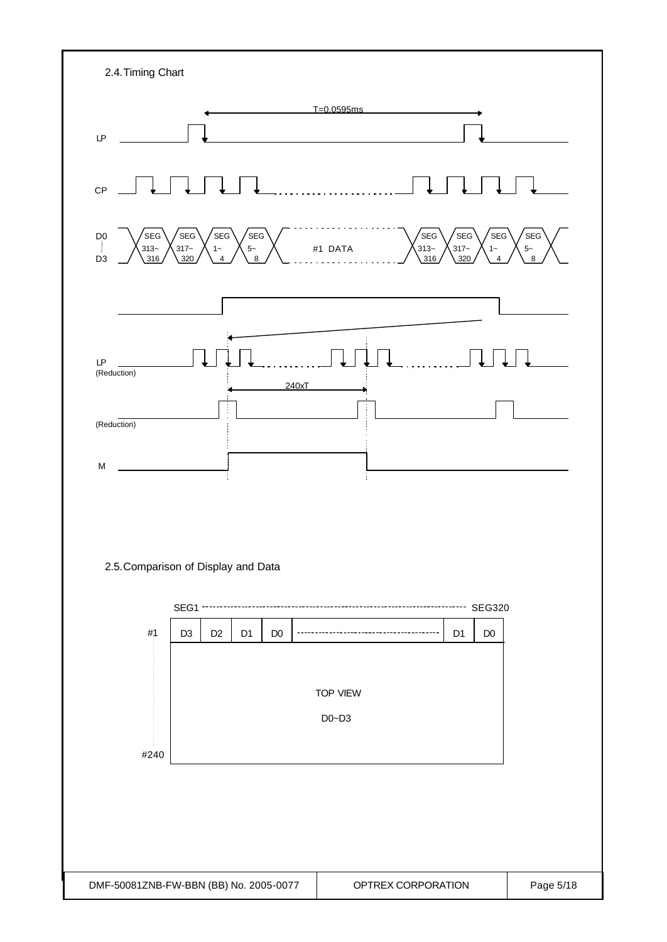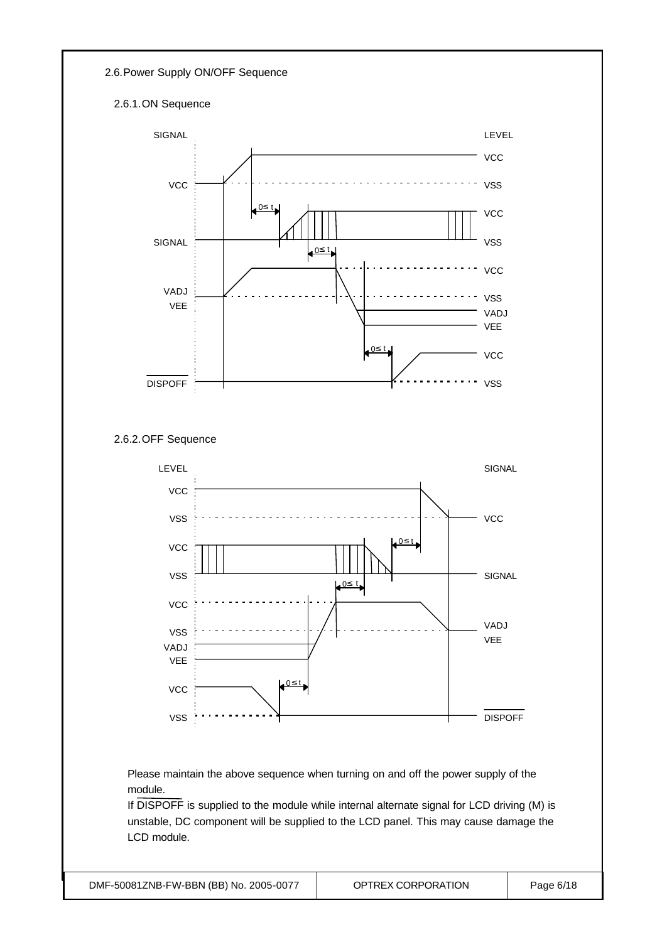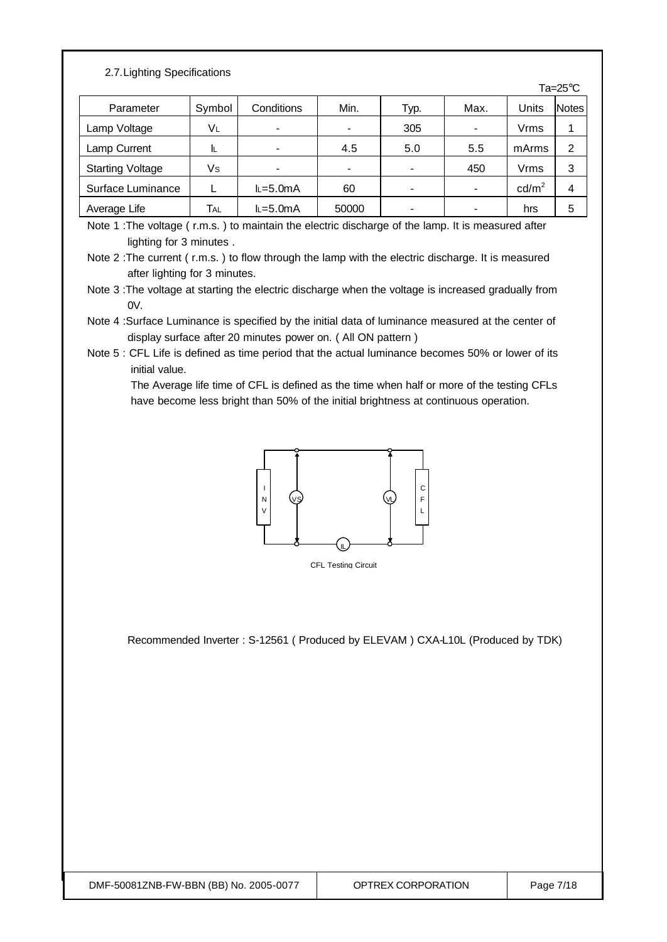#### 2.7.Lighting Specifications

|                         |        |             |       |                          |      |                 | Ta= $25^{\circ}$ C |
|-------------------------|--------|-------------|-------|--------------------------|------|-----------------|--------------------|
| Parameter               | Symbol | Conditions  | Min.  | Typ.                     | Max. | Units           | <b>Notes</b>       |
| Lamp Voltage            | VL     |             | -     | 305                      |      | Vrms            |                    |
| Lamp Current            |        |             | 4.5   | 5.0                      | 5.5  | mArms           | 2                  |
| <b>Starting Voltage</b> | Vs     |             | -     | $\overline{\phantom{0}}$ | 450  | Vrms            | 3                  |
| Surface Luminance       |        | $L = 5.0mA$ | 60    | -                        |      | $\text{cd/m}^2$ | 4                  |
| Average Life            | TAL    | $L = 5.0mA$ | 50000 |                          |      | hrs             | 5                  |

Note 1 :The voltage ( r.m.s. ) to maintain the electric discharge of the lamp. It is measured after lighting for 3 minutes .

Note 3 :The voltage at starting the electric discharge when the voltage is increased gradually from  $0V$ 

Note 4 :Surface Luminance is specified by the initial data of luminance measured at the center of display surface after 20 minutes power on. ( All ON pattern )

Note 5 : CFL Life is defined as time period that the actual luminance becomes 50% or lower of its initial value.

 The Average life time of CFL is defined as the time when half or more of the testing CFLs have become less bright than 50% of the initial brightness at continuous operation.



CFL Testing Circuit

Recommended Inverter : S-12561 ( Produced by ELEVAM ) CXA-L10L (Produced by TDK)

Note 2 :The current ( r.m.s. ) to flow through the lamp with the electric discharge. It is measured after lighting for 3 minutes.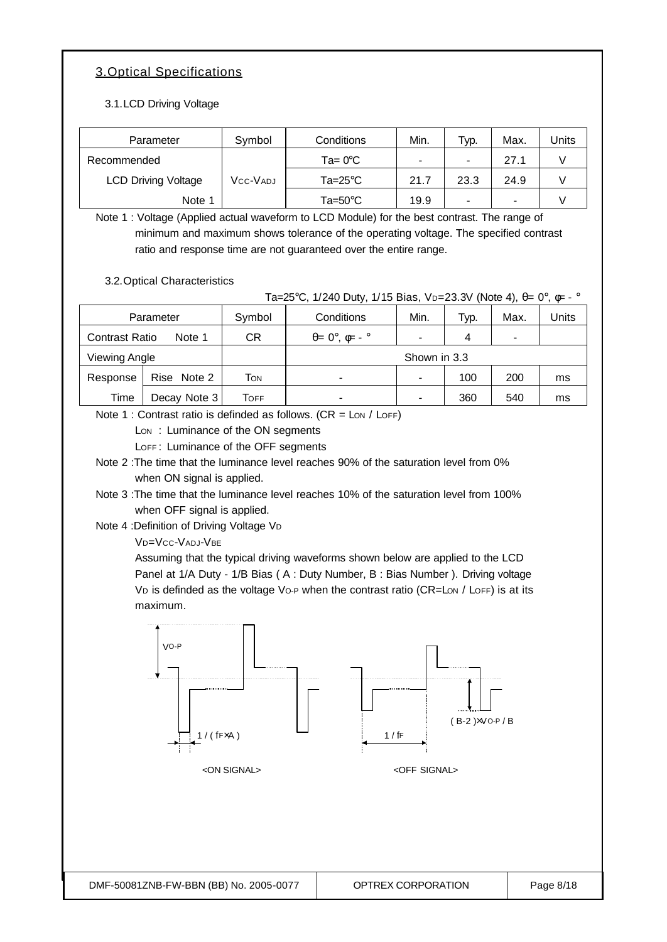### 3.Optical Specifications

3.1.LCD Driving Voltage

| Parameter                  | Symbol   | Conditions         | Min.                     | Typ.                     | Max. | Units |
|----------------------------|----------|--------------------|--------------------------|--------------------------|------|-------|
| Recommended                |          | $Ta = 0^{\circ}C$  | $\overline{\phantom{a}}$ | $\overline{\phantom{0}}$ | 27.1 |       |
| <b>LCD Driving Voltage</b> | VCC-VADJ | Ta=25 $^{\circ}$ C | 21.7                     | 23.3                     | 24.9 |       |
| Note 1                     |          | Ta=50 $^{\circ}$ C | 19.9                     | -                        |      |       |

Note 1 : Voltage (Applied actual waveform to LCD Module) for the best contrast. The range of minimum and maximum shows tolerance of the operating voltage. The specified contrast ratio and response time are not guaranteed over the entire range.

3.2.Optical Characteristics

Ta=25°C, 1/240 Duty, 1/15 Bias, V<sub>D</sub>=23.3V (Note 4), θ= 0°, φ= - °

| Parameter                       |              | Symbol | Conditions                           | Min. | Typ. | Max. | <b>Jnits</b> |
|---------------------------------|--------------|--------|--------------------------------------|------|------|------|--------------|
| <b>Contrast Ratio</b><br>Note 1 |              | СR     | $\theta = 0^\circ$ , $\phi = -\circ$ |      | 4    |      |              |
| Viewing Angle                   |              |        | Shown in 3.3                         |      |      |      |              |
| Response                        | Rise Note 2  | Том    | $\blacksquare$                       |      | 100  | 200  | ms           |
| Time                            | Decay Note 3 | Тоғғ   | ۰                                    |      | 360  | 540  | ms           |

Note 1 : Contrast ratio is definded as follows.  $(CR = \text{Low / LOFF})$ 

Lon: Luminance of the ON segments

LOFF: Luminance of the OFF segments

Note 2 :The time that the luminance level reaches 90% of the saturation level from 0% when ON signal is applied.

- Note 3 :The time that the luminance level reaches 10% of the saturation level from 100% when OFF signal is applied.
- Note 4 :Definition of Driving Voltage V<sup>D</sup>

VD=VCC-VADJ-VBE

Assuming that the typical driving waveforms shown below are applied to the LCD Panel at 1/A Duty - 1/B Bias ( A : Duty Number, B : Bias Number ). Driving voltage VD is definded as the voltage Vo-P when the contrast ratio (CR=LON / LOFF) is at its maximum.

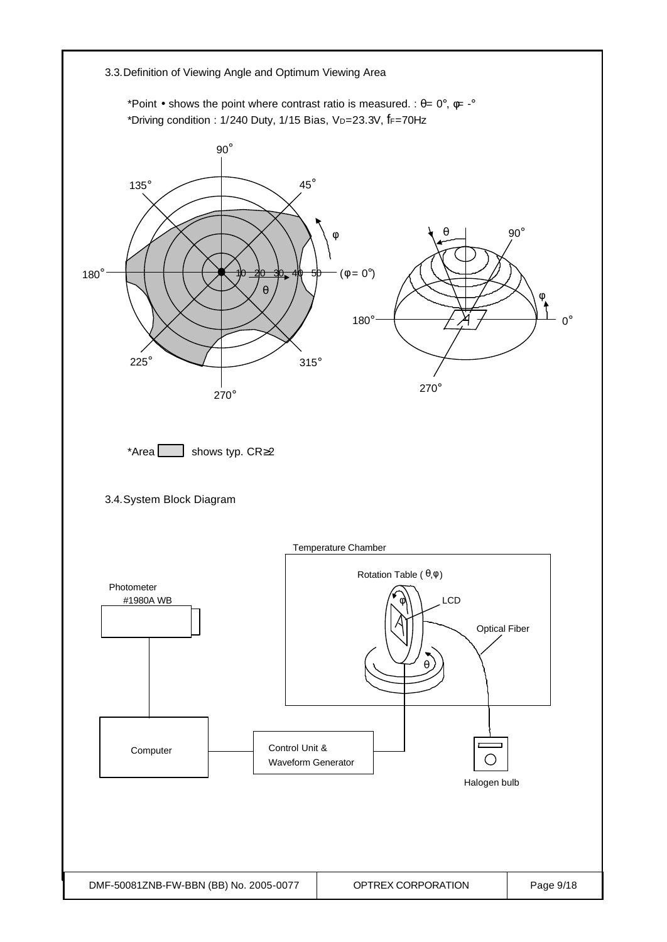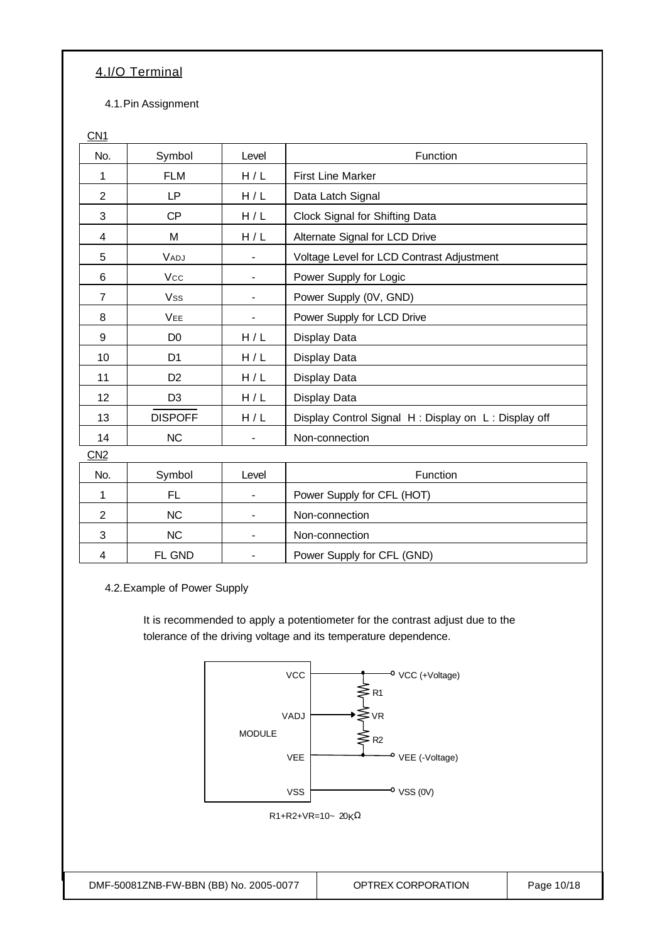#### 4.I/O Terminal

4.1.Pin Assignment

| CN1             |                |       |                                                     |
|-----------------|----------------|-------|-----------------------------------------------------|
| No.             | Symbol         | Level | Function                                            |
| 1               | <b>FLM</b>     | H/L   | <b>First Line Marker</b>                            |
| 2               | <b>LP</b>      | H/L   | Data Latch Signal                                   |
| 3               | <b>CP</b>      | H/L   | Clock Signal for Shifting Data                      |
| 4               | M              | H/L   | Alternate Signal for LCD Drive                      |
| 5               | VADJ           |       | Voltage Level for LCD Contrast Adjustment           |
| 6               | Vcc            |       | Power Supply for Logic                              |
| $\overline{7}$  | <b>Vss</b>     |       | Power Supply (0V, GND)                              |
| 8               | <b>VEE</b>     |       | Power Supply for LCD Drive                          |
| 9               | D <sub>0</sub> | H/L   | Display Data                                        |
| 10              | D <sub>1</sub> | H/L   | Display Data                                        |
| 11              | D <sub>2</sub> | H/L   | Display Data                                        |
| 12              | D <sub>3</sub> | H/L   | Display Data                                        |
| 13              | <b>DISPOFF</b> | H/L   | Display Control Signal H: Display on L: Display off |
| 14              | <b>NC</b>      |       | Non-connection                                      |
| CN <sub>2</sub> |                |       |                                                     |
| No.             | Symbol         | Level | Function                                            |
| 1               | <b>FL</b>      |       | Power Supply for CFL (HOT)                          |
| $\overline{2}$  | <b>NC</b>      |       | Non-connection                                      |
| 3               | NC             |       | Non-connection                                      |
| 4               | FL GND         |       | Power Supply for CFL (GND)                          |

4.2.Example of Power Supply

It is recommended to apply a potentiometer for the contrast adjust due to the tolerance of the driving voltage and its temperature dependence.

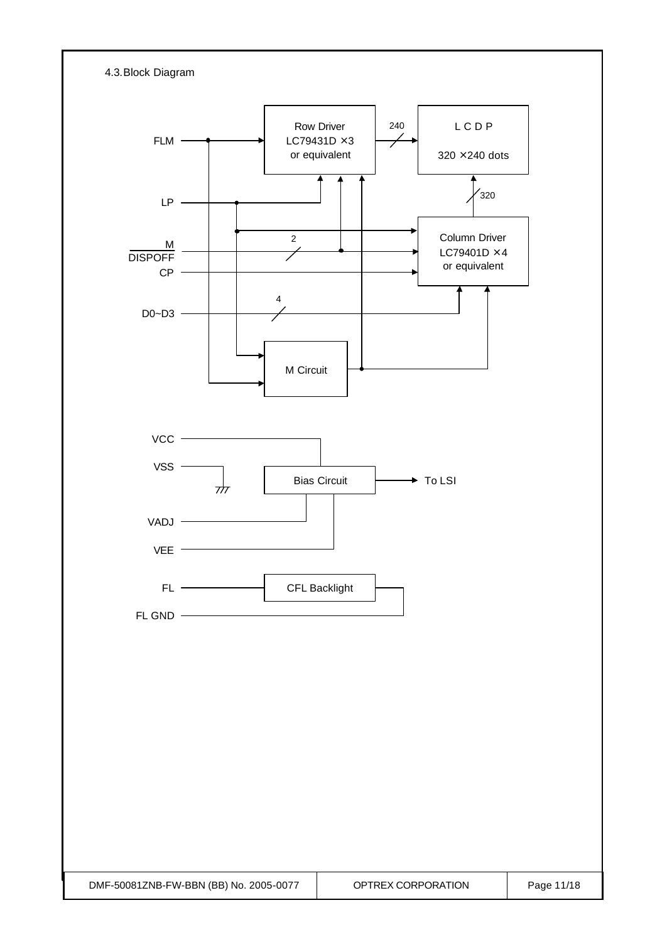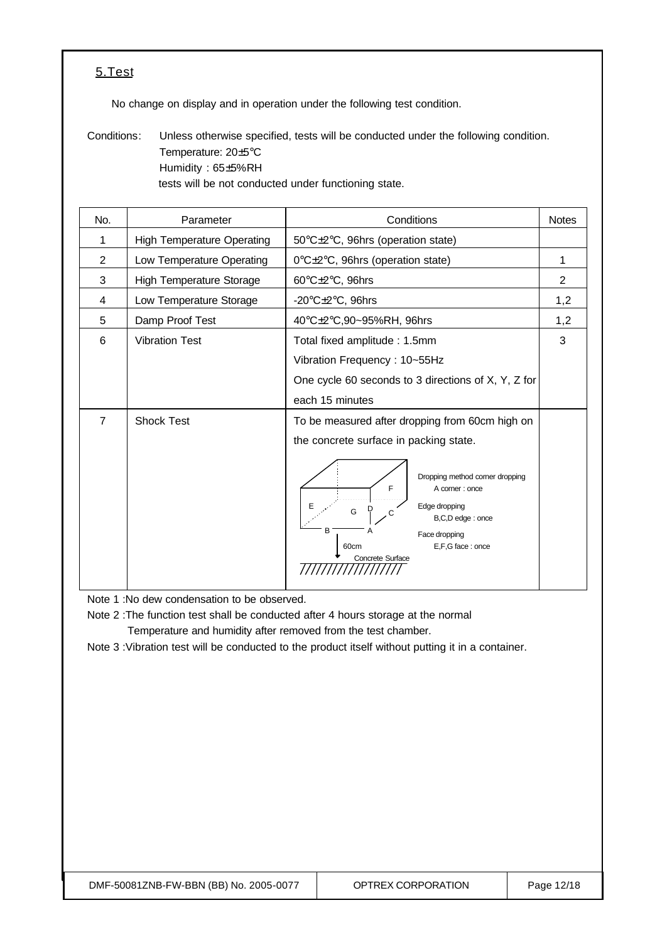#### 5.Test

No change on display and in operation under the following test condition.

Conditions: Unless otherwise specified, tests will be conducted under the following condition. Temperature: 20±5°C Humidity : 65±5%RH tests will be not conducted under functioning state.

| No.            | Parameter                         | Conditions                                                                                                                                                                                                                                                          | <b>Notes</b> |
|----------------|-----------------------------------|---------------------------------------------------------------------------------------------------------------------------------------------------------------------------------------------------------------------------------------------------------------------|--------------|
| 1              | <b>High Temperature Operating</b> | 50°C±2°C, 96hrs (operation state)                                                                                                                                                                                                                                   |              |
| $\overline{2}$ | Low Temperature Operating         | 0°C±2°C, 96hrs (operation state)                                                                                                                                                                                                                                    | 1            |
| 3              | <b>High Temperature Storage</b>   | 60°C±2°C, 96hrs                                                                                                                                                                                                                                                     | 2            |
| 4              | Low Temperature Storage           | -20 $\textdegree$ C $\pm$ 2 $\textdegree$ C, 96hrs                                                                                                                                                                                                                  | 1,2          |
| 5              | Damp Proof Test                   | 40°C±2°C,90~95%RH, 96hrs                                                                                                                                                                                                                                            | 1,2          |
| 6              | <b>Vibration Test</b>             | Total fixed amplitude: 1.5mm<br>Vibration Frequency: 10~55Hz<br>One cycle 60 seconds to 3 directions of X, Y, Z for<br>each 15 minutes                                                                                                                              | 3            |
| $\overline{7}$ | <b>Shock Test</b>                 | To be measured after dropping from 60cm high on<br>the concrete surface in packing state.<br>Dropping method corner dropping<br>F<br>A corner: once<br>Edge dropping<br>G<br>B,C,D edge: once<br>B<br>Face dropping<br>E,F,G face: once<br>60cm<br>Concrete Surface |              |

Note 1 :No dew condensation to be observed.

Note 2 :The function test shall be conducted after 4 hours storage at the normal Temperature and humidity after removed from the test chamber.

Note 3 :Vibration test will be conducted to the product itself without putting it in a container.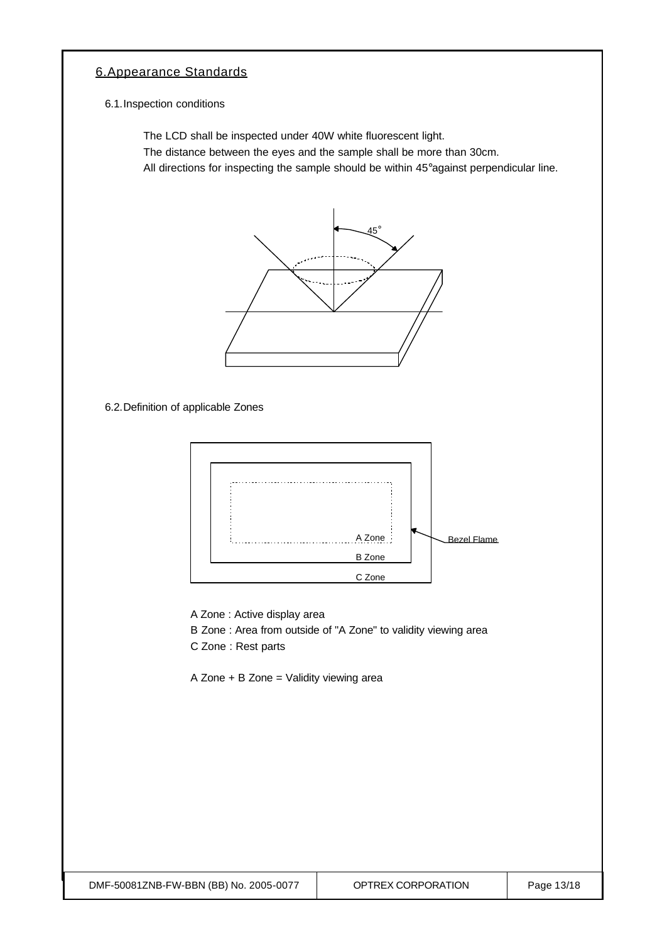#### 6.Appearance Standards

6.1.Inspection conditions

The LCD shall be inspected under 40W white fluorescent light.

The distance between the eyes and the sample shall be more than 30cm.

All directions for inspecting the sample should be within 45°against perpendicular line.



6.2.Definition of applicable Zones



A Zone : Active display area

B Zone : Area from outside of "A Zone" to validity viewing area

C Zone : Rest parts

A Zone + B Zone = Validity viewing area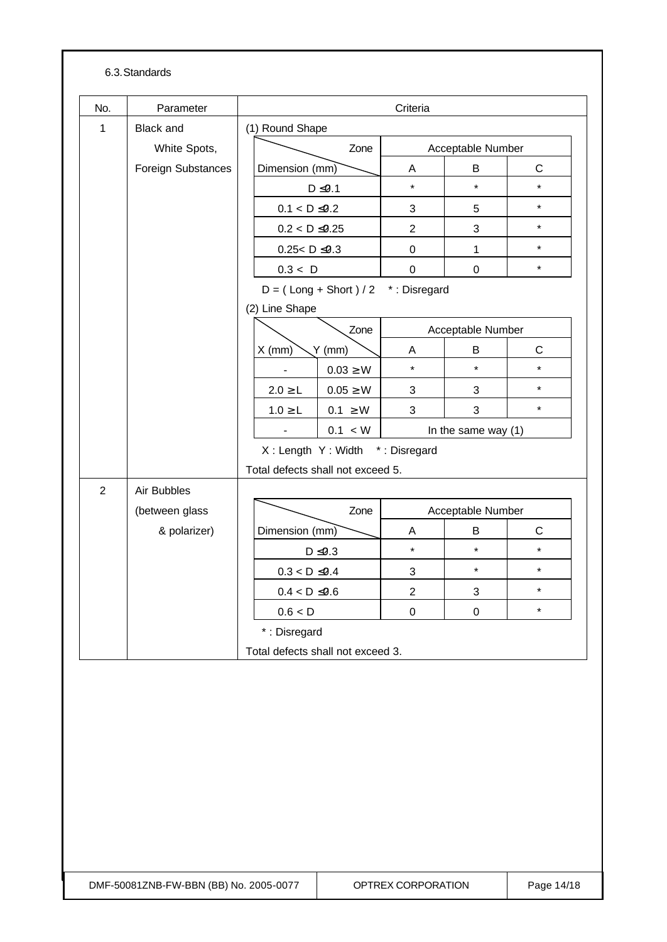#### 6.3.Standards

| No.            | Parameter          |                                   |                                       | Criteria                  |                       |             |
|----------------|--------------------|-----------------------------------|---------------------------------------|---------------------------|-----------------------|-------------|
| $\mathbf{1}$   | <b>Black and</b>   | (1) Round Shape                   |                                       |                           |                       |             |
|                | White Spots,       |                                   | Zone                                  |                           | Acceptable Number     |             |
|                | Foreign Substances | Dimension (mm)                    |                                       | Α                         | В                     | $\mathsf C$ |
|                |                    |                                   | $D \le 0.1$                           | $\star$                   | $\star$               | $\star$     |
|                |                    | $0.1 < D \le 0.2$                 |                                       | 3                         | 5                     | $\star$     |
|                |                    | $0.2 < D \le 0.25$                |                                       | $\overline{2}$            | 3                     | $\star$     |
|                |                    | $0.25 < D \le 0.3$                |                                       | $\pmb{0}$                 | $\mathbf{1}$          | $\star$     |
|                |                    | 0.3 < D                           |                                       | $\mathbf 0$               | $\mathbf 0$           | $\star$     |
|                |                    |                                   | $D = (Long + Short) / 2$ *: Disregard |                           |                       |             |
|                |                    | (2) Line Shape                    |                                       |                           |                       |             |
|                |                    |                                   | Zone                                  |                           | Acceptable Number     |             |
|                |                    | $X$ (mm)                          | $Y$ (mm)                              | A                         | B                     | $\mathsf C$ |
|                |                    |                                   | $0.03 \geq W$                         | $\star$                   | $\star$               | $\star$     |
|                |                    | $2.0 \ge L$                       | $0.05 \geq W$                         | 3                         | 3                     | $\star$     |
|                |                    | $1.0 \ge L$                       | $0.1 \geq W$                          | 3                         | 3                     | $\star$     |
|                |                    | $\overline{\phantom{a}}$          | 0.1 < W                               |                           | In the same way $(1)$ |             |
|                |                    |                                   | X: Length Y: Width *: Disregard       |                           |                       |             |
|                |                    | Total defects shall not exceed 5. |                                       |                           |                       |             |
| $\overline{2}$ | Air Bubbles        |                                   |                                       |                           |                       |             |
|                | (between glass     |                                   | Zone                                  |                           | Acceptable Number     |             |
|                | & polarizer)       | Dimension (mm)                    |                                       | A                         | B                     | $\mathsf C$ |
|                |                    |                                   | $D \leq 0.3$                          | $\star$                   | $\star$               | $\star$     |
|                |                    | $0.3 < D \le 0.4$                 |                                       | $\ensuremath{\mathsf{3}}$ | $\star$               | $\star$     |
|                |                    | $0.4 < D \leq 0.6$                |                                       | $\overline{c}$            | 3                     | $\star$     |
|                |                    | 0.6 < D                           |                                       | $\pmb{0}$                 | $\mathsf 0$           | $\star$     |
|                |                    | *: Disregard                      |                                       |                           |                       |             |
|                |                    | Total defects shall not exceed 3. |                                       |                           |                       |             |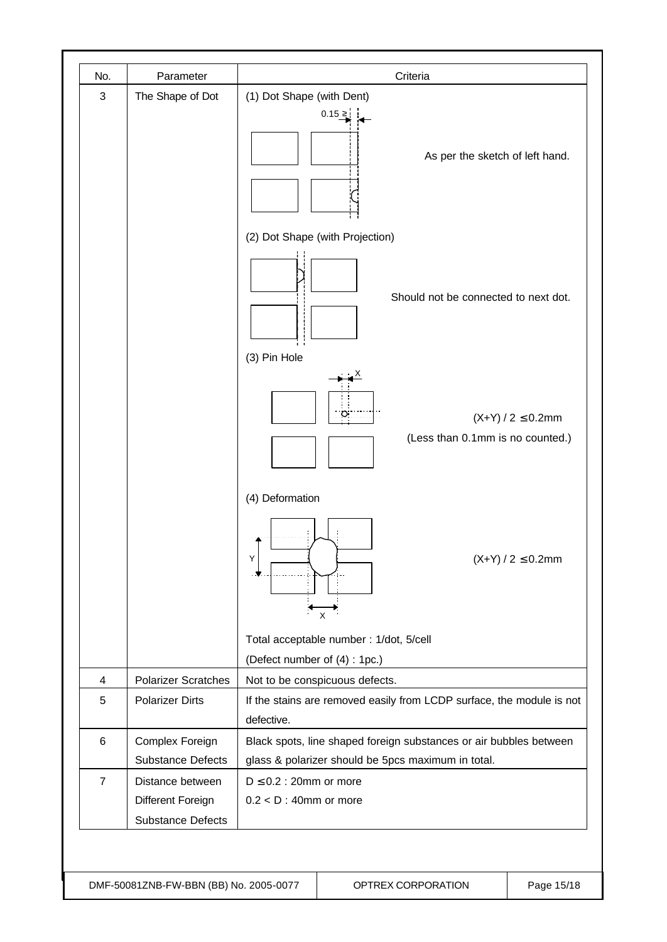| No.                     | Parameter                                                         | Criteria                                                                                                                 |
|-------------------------|-------------------------------------------------------------------|--------------------------------------------------------------------------------------------------------------------------|
| $\sqrt{3}$              | The Shape of Dot                                                  | (1) Dot Shape (with Dent)<br>0.15 ≥<br>As per the sketch of left hand.                                                   |
|                         |                                                                   | (2) Dot Shape (with Projection)                                                                                          |
|                         |                                                                   | Should not be connected to next dot.<br>(3) Pin Hole                                                                     |
|                         |                                                                   | $(X+Y)/2 \le 0.2$ mm<br>(Less than 0.1mm is no counted.)                                                                 |
|                         |                                                                   | (4) Deformation<br>Υ<br>$(X+Y) / 2 \le 0.2$ mm<br>X                                                                      |
|                         |                                                                   | Total acceptable number : 1/dot, 5/cell                                                                                  |
|                         |                                                                   | (Defect number of (4): 1pc.)                                                                                             |
| $\overline{\mathbf{4}}$ | <b>Polarizer Scratches</b>                                        | Not to be conspicuous defects.                                                                                           |
| 5                       | <b>Polarizer Dirts</b>                                            | If the stains are removed easily from LCDP surface, the module is not<br>defective.                                      |
| 6                       | Complex Foreign<br><b>Substance Defects</b>                       | Black spots, line shaped foreign substances or air bubbles between<br>glass & polarizer should be 5pcs maximum in total. |
| $\overline{7}$          | Distance between<br>Different Foreign<br><b>Substance Defects</b> | $D \le 0.2$ : 20mm or more<br>$0.2 < D$ : 40mm or more                                                                   |

DMF-50081ZNB-FW-BBN (BB) No. 2005-0077 | OPTREX CORPORATION | Page 15/18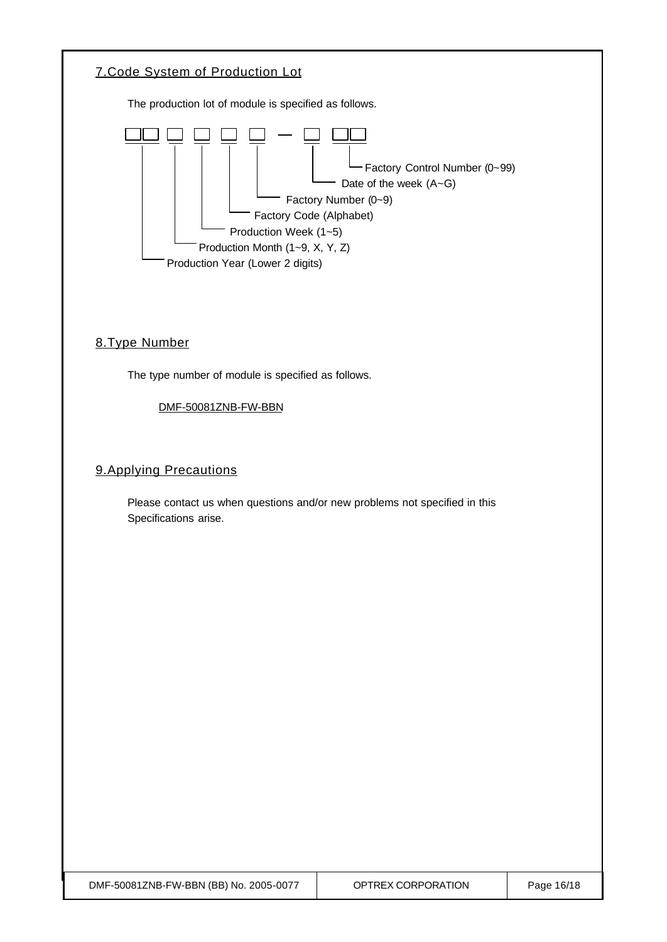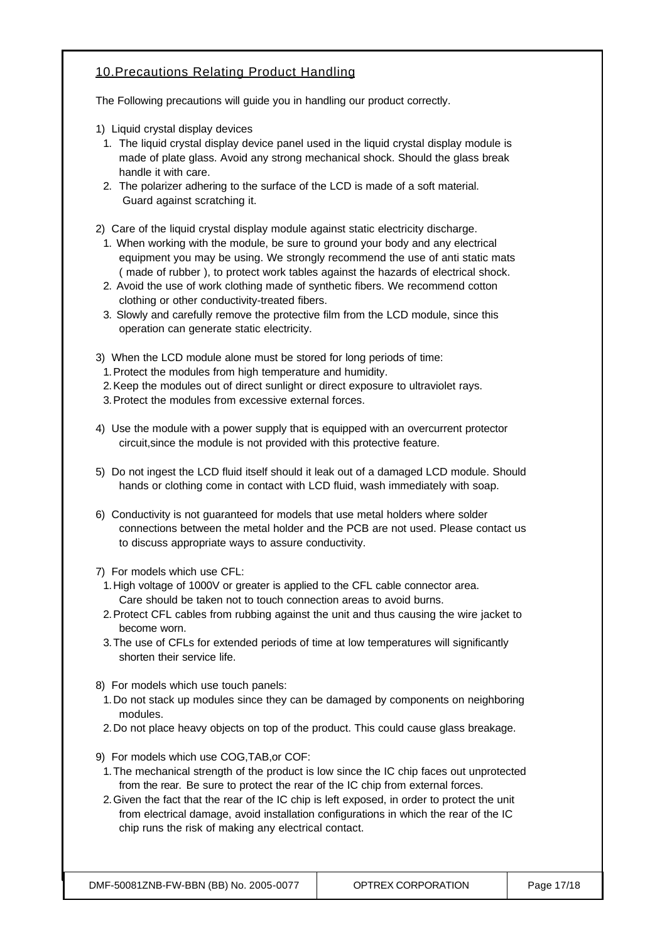#### 10.Precautions Relating Product Handling

The Following precautions will guide you in handling our product correctly.

- 1) Liquid crystal display devices
- 1. The liquid crystal display device panel used in the liquid crystal display module is made of plate glass. Avoid any strong mechanical shock. Should the glass break handle it with care.
- 2. The polarizer adhering to the surface of the LCD is made of a soft material. Guard against scratching it.
- 2) Care of the liquid crystal display module against static electricity discharge.
	- 1. When working with the module, be sure to ground your body and any electrical equipment you may be using. We strongly recommend the use of anti static mats ( made of rubber ), to protect work tables against the hazards of electrical shock.
	- 2. Avoid the use of work clothing made of synthetic fibers. We recommend cotton clothing or other conductivity-treated fibers.
	- 3. Slowly and carefully remove the protective film from the LCD module, since this operation can generate static electricity.
- 3) When the LCD module alone must be stored for long periods of time:
	- 1.Protect the modules from high temperature and humidity.
- 2.Keep the modules out of direct sunlight or direct exposure to ultraviolet rays.
- 3.Protect the modules from excessive external forces.
- 4) Use the module with a power supply that is equipped with an overcurrent protector circuit,since the module is not provided with this protective feature.
- 5) Do not ingest the LCD fluid itself should it leak out of a damaged LCD module. Should hands or clothing come in contact with LCD fluid, wash immediately with soap.
- 6) Conductivity is not guaranteed for models that use metal holders where solder connections between the metal holder and the PCB are not used. Please contact us to discuss appropriate ways to assure conductivity.
- 7) For models which use CFL:
- 1.High voltage of 1000V or greater is applied to the CFL cable connector area. Care should be taken not to touch connection areas to avoid burns.
- 2.Protect CFL cables from rubbing against the unit and thus causing the wire jacket to become worn.
- 3.The use of CFLs for extended periods of time at low temperatures will significantly shorten their service life.
- 8) For models which use touch panels:
- 1.Do not stack up modules since they can be damaged by components on neighboring modules.
- 2.Do not place heavy objects on top of the product. This could cause glass breakage.
- 9) For models which use COG,TAB,or COF:
- 1.The mechanical strength of the product is low since the IC chip faces out unprotected from the rear. Be sure to protect the rear of the IC chip from external forces.
- 2.Given the fact that the rear of the IC chip is left exposed, in order to protect the unit from electrical damage, avoid installation configurations in which the rear of the IC chip runs the risk of making any electrical contact.